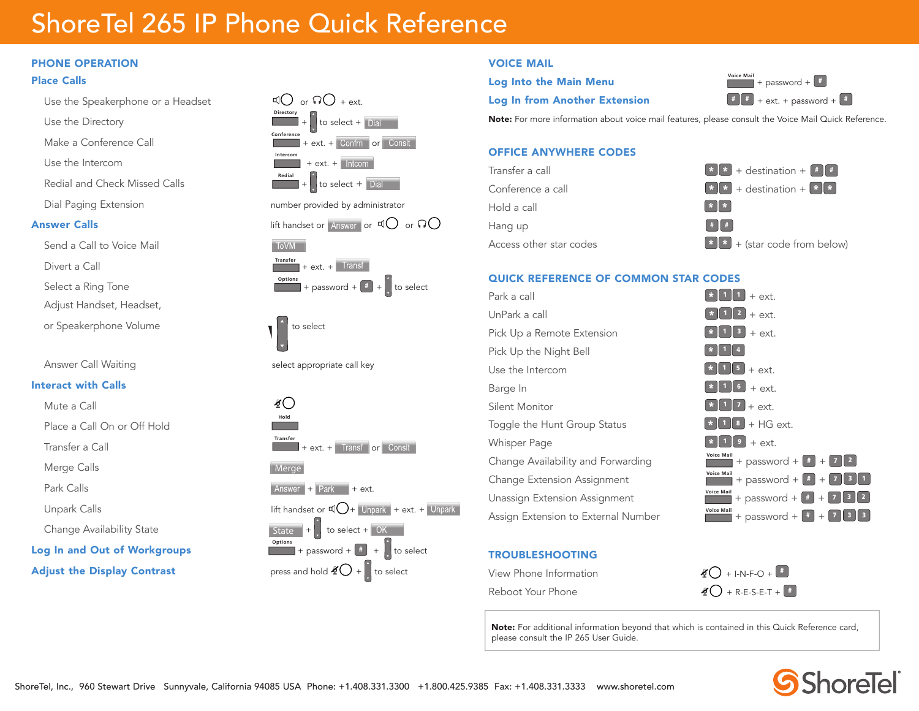# ShoreTel 265 IP Phone Quick Reference

#### PHONE OPERATION

#### Place Calls

- Use the Speakerphone or a Headset  $\mathfrak{q}$  or  $\mathfrak{q}$  or  $\mathfrak{q}$  + ext.
- Use the Directory
- Make a Conference Call **Conference**
- Use the Intercom **Intercom**
- Redial and Check Missed Calls
- 

- Send a Call to Voice Mail
- Divert a Call **Transfer**
- Select a Ring Tone
- Adjust Handset, Headset,
- or Speakerphone Volume to select the select

#### Interact with Calls

- Mute a Call
- Place a Call On or Off Hold
- Transfer a Call **Transfer**
- Merge Calls
- 
- 
- 
- **Log In and Out of Workgroups**



#### VOICE MAIL

## **Log Into the Main Menu**

### Log In from Another Extension  $\begin{bmatrix} 1 & 2 \end{bmatrix}$  + ext. + password +  $\begin{bmatrix} 1 & 3 \end{bmatrix}$

 $+$  password  $+$   $+$ 

Note: For more information about voice mail features, please consult the Voice Mail Quick Reference.

#### OFFICE ANYWHERE CODES



#### QUICK REFERENCE OF COMMON STAR CODES

| Park a call                         | + ext.                                                                                                      |
|-------------------------------------|-------------------------------------------------------------------------------------------------------------|
| UnPark a call                       | $*$   1   2  <br>$+$ ext.                                                                                   |
| Pick Up a Remote Extension          | $\vert$ 3<br>$+$ ext.                                                                                       |
| Pick Up the Night Bell              |                                                                                                             |
| Use the Intercom                    | $\vert$ = $\vert$ + ext.                                                                                    |
| Barge In                            | $6 \mid$<br>$+$ ext.                                                                                        |
| Silent Monitor                      | $\ 7\ $ + ext.                                                                                              |
| Toggle the Hunt Group Status        | $ 3 $ + HG ext.                                                                                             |
| <b>Whisper Page</b>                 | $+$ ext.<br>9 <sub>1</sub>                                                                                  |
| Change Availability and Forwarding  | Voice Mail<br>$+$ password + $+$ + $7$ 2                                                                    |
| Change Extension Assignment         | <b>Voice Mail</b><br>$\begin{bmatrix} 3 \end{bmatrix}$ 1<br>+ password + $\vert \cdot \vert$ +<br>$\vert$ 7 |
| Unassign Extension Assignment       | <b>Voice Mail</b><br>$7$ 3 $2$<br>+ password + $\parallel$ # $\parallel$ +                                  |
| Assign Extension to External Number | <b>Voice Mail</b><br>   3<br>$\vert$ 3<br>+ password + $\vert$ # $\vert$<br>$+17$                           |

#### TROUBLESHOOTING

| View Phone Information | $\frac{1}{2}$ () + I-N-F-O + $\frac{1}{2}$ |
|------------------------|--------------------------------------------|
| Reboot Your Phone      | $\mathscr{L}$ + R-E-S-E-T + $\boxed{\ast}$ |

Note: For additional information beyond that which is contained in this Quick Reference card, please consult the IP 265 User Guide.